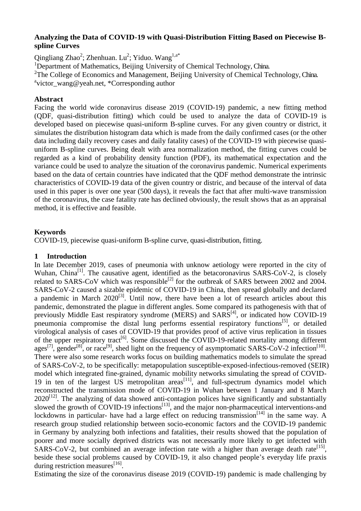## **Analyzing the Data of COVID-19 with Quasi-Distribution Fitting Based on Piecewise Bspline Curves**

Qingliang Zhao<sup>2</sup>; Zhenhuan. Lu<sup>2</sup>; Yiduo. Wang<sup>1,a\*</sup>

<sup>1</sup>Department of Mathematics, Beijing University of Chemical Technology, China.

<sup>2</sup>The College of Economics and Management, Beijing University of Chemical Technology, China.

a victor\_wang@yeah.net, \*Corresponding author

# **Abstract**

Facing the world wide coronavirus disease 2019 (COVID-19) pandemic, a new fitting method (QDF, quasi-distribution fitting) which could be used to analyze the data of COVID-19 is developed based on piecewise quasi-uniform B-spline curves. For any given country or district, it simulates the distribution histogram data which is made from the daily confirmed cases (or the other data including daily recovery cases and daily fatality cases) of the COVID-19 with piecewise quasiuniform B-spline curves. Being dealt with area normalization method, the fitting curves could be regarded as a kind of probability density function (PDF), its mathematical expectation and the variance could be used to analyze the situation of the coronavirus pandemic. Numerical experiments based on the data of certain countries have indicated that the QDF method demonstrate the intrinsic characteristics of COVID-19 data of the given country or distric, and because of the interval of data used in this paper is over one year (500 days), it reveals the fact that after multi-wave transmission of the coronavirus, the case fatality rate has declined obviously, the result shows that as an appraisal method, it is effective and feasible.

# **Keywords**

COVID-19, piecewise quasi-uniform B-spline curve, quasi-distribution, fitting.

## **1 Introduction**

In late December 2019, cases of pneumonia with unknow aetiology were reported in the city of Wuhan, China<sup>[1]</sup>. The causative agent, identified as the betacoronavirus SARS-CoV-2, is closely related to SARS-CoV which was responsible<sup>[2]</sup> for the outbreak of SARS between 2002 and 2004. SARS-CoV-2 caused a sizable epidemic of COVID-19 in China, then spread globally and declared a pandemic in March  $2020^{[3]}$ . Until now, there have been a lot of research articles about this pandemic, demonstrated the plague in different angles. Some compared its pathogenesis with that of previously Middle East respiratory syndrome (MERS) and SARS<sup>[4]</sup>, or indicated how COVID-19 pneumonia compromise the distal lung performs essential respiratory functions<sup>[5]</sup>, or detailed virological analysis of cases of COVID-19 that provides proof of active virus replication in tissues of the upper respiratory tract<sup>[6]</sup>. Some discussed the COVID-19-related mortality among different ages<sup>[7]</sup>, gender<sup>[8]</sup>, or race<sup>[9]</sup>, shed light on the frequency of asymptomatic SARS-CoV-2 infection<sup>[10]</sup>. There were also some research works focus on building mathematics models to simulate the spread of SARS-CoV-2, to be specifically: metapopulation susceptible-exposed-infectious-removed (SEIR) model which integrated fine-grained, dynamic mobility networks simulating the spread of COVID-19 in ten of the largest US metropolitan  $a$ reas<sup>[11]</sup>, and full-spectrum dynamics model which reconstructed the transmission mode of COVID-19 in Wuhan between 1 January and 8 March  $2020^{[12]}$ . The analyzing of data showed anti-contagion polices have significantly and substantially slowed the growth of COVID-19 infections<sup>[13]</sup>, and the major non-pharmaceutical interventions-and lockdowns in particular- have had a large effect on reducing transmission<sup>[14]</sup> in the same way. A research group studied relationship between socio-economic factors and the COVID-19 pandemic in Germany by analyzing both infections and fatalities, their results showed that the population of poorer and more socially deprived districts was not necessarily more likely to get infected with  $SARS-CoV-2$ , but combined an average infection rate with a higher than average death rate<sup>[15]</sup>, beside these social problems caused by COVID-19, it also changed people's everyday life praxis during restriction measures<sup>[16]</sup>.

Estimating the size of the coronavirus disease 2019 (COVID-19) pandemic is made challenging by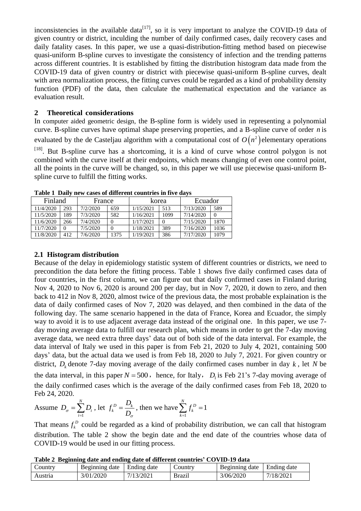inconsistencies in the available data<sup>[17]</sup>, so it is very important to analyze the COVID-19 data of given country or district, inculding the number of daily confirmed cases, daily recovery cases and daily fatality cases. In this paper, we use a quasi-distribution-fitting method based on piecewise quasi-uniform B-spline curves to investigate the consistency of infection and the trending patterns across different countries. It is established by fitting the distribution histogram data made from the COVID-19 data of given country or district with piecewise quasi-uniform B-spline curves, dealt with area normalization process, the fitting curves could be regarded as a kind of probability density function (PDF) of the data, then calculate the mathematical expectation and the variance as evaluation result.

# **2 Theoretical considerations**

In computer aided geometric design, the B-spline form is widely used in representing a polynomial curve. B-spline curves have optimal shape preserving properties, and a B-spline curve of order *n* is evaluated by the de Casteljau algorithm with a computational cost of  $O(n^2)$  elementary operations

 $[18]$ . But B-spline curve has a shortcoming, it is a kind of curve whose control polygon is not combined with the curve itself at their endpoints, which means changing of even one control point, all the points in the curve will be changed, so, in this paper we will use piecewise quasi-uniform Bspline curve to fulfill the fitting works.

| Finland   |          | France   |      | korea     |      | Ecuador   |          |
|-----------|----------|----------|------|-----------|------|-----------|----------|
| 11/4/2020 | 293      | 7/2/2020 | 659  | 1/15/2021 | 513  | 7/13/2020 | 589      |
| 11/5/2020 | 89       | 7/3/2020 | 582  | 1/16/2021 | 1099 | 7/14/2020 | $\Omega$ |
| 11/6/2020 | 266      | 7/4/2020 |      | 1/17/2021 |      | 7/15/2020 | 1870     |
| 11/7/2020 | $\Omega$ | 7/5/2020 |      | 1/18/2021 | 389  | 7/16/2020 | 1036     |
| 11/8/2020 | 412      | 7/6/2020 | 1375 | 1/19/2021 | 386  | 7/17/2020 | 1079     |

**Table 1 Daily new cases of different countries in five days**

# **2.1 Histogram distribution**

Because of the delay in epidemiology statistic system of different countries or districts, we need to precondition the data before the fitting process. Table 1 shows five daily confirmed cases data of four countries, in the first column, we can figure out that daily confirmed cases in Finland during Nov 4, 2020 to Nov 6, 2020 is around 200 per day, but in Nov 7, 2020, it down to zero, and then back to 412 in Nov 8, 2020, almost twice of the previous data, the most probable explaination is the data of daily confirmed cases of Nov 7, 2020 was delayed, and then combined in the data of the following day. The same scenario happened in the data of France, Korea and Ecuador, the simply way to avoid it is to use adjacent average data instead of the original one. In this paper, we use 7 day moving average data to fulfill our research plan, which means in order to get the 7-day moving average data, we need extra three days' data out of both side of the data interval. For example, the data interval of Italy we used in this paper is from Feb 21, 2020 to July 4, 2021, containing 500 days' data, but the actual data we used is from Feb 18, 2020 to July 7, 2021. For given country or district,  $D_k$  denote 7-day moving average of the daily confirmed cases number in day  $k$ , let N be the data interval, in this paper  $N = 500$ , hence, for Italy,  $D_1$  is Feb 21's 7-day moving average of the daily confirmed cases which is the average of the daily confirmed cases from Feb 18, 2020 to Feb 24, 2020.

Assume 
$$
D_{\sigma} = \sum_{i=1}^{N} D_i
$$
, let  $f_k^D = \frac{D_k}{D_{\sigma}}$ , then we have  $\sum_{k=1}^{N} f_k^D = 1$ 

That means  $f_k^D$  $f_k^D$  could be regarded as a kind of probability distribution, we can call that histogram distribution. The table 2 show the begin date and the end date of the countries whose data of COVID-19 would be used in our fitting process.

**Table 2 Beginning date and ending date of different countries' COVID-19 data**

| Country | Beginning date | Ending date | $\mathcal{L}$ ountry | Beginning date | Ending date |
|---------|----------------|-------------|----------------------|----------------|-------------|
| Austria | 3/01/2020      | 7/13/2021   | Brazil               | 3/06/2020      | 7/18/2021   |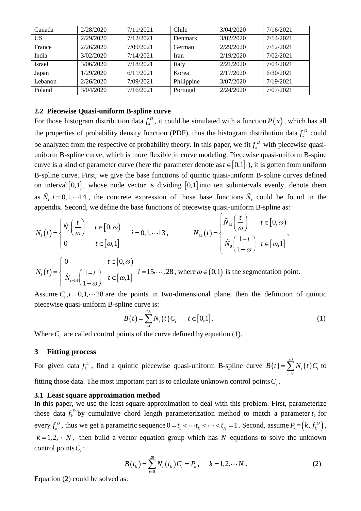| Canada        | 2/28/2020 | 7/11/2021 | Chile      | 3/04/2020 | 7/16/2021 |
|---------------|-----------|-----------|------------|-----------|-----------|
| US            | 2/29/2020 | 7/12/2021 | Denmark    | 3/02/2020 | 7/14/2021 |
| France        | 2/26/2020 | 7/09/2021 | German     | 2/29/2020 | 7/12/2021 |
| India         | 3/02/2020 | 7/14/2021 | Iran       | 2/19/2020 | 7/02/2021 |
| <b>Israel</b> | 3/06/2020 | 7/18/2021 | Italy      | 2/21/2020 | 7/04/2021 |
| Japan         | 1/29/2020 | 6/11/2021 | Korea      | 2/17/2020 | 6/30/2021 |
| Lebanon       | 2/26/2020 | 7/09/2021 | Philippine | 3/07/2020 | 7/19/2021 |
| Poland        | 3/04/2020 | 7/16/2021 | Portugal   | 2/24/2020 | 7/07/2021 |

## **2.2 Piecewise Quasi-uniform B-spline curve**

For those histogram distribution data  $f_k^D$  $f_k^D$ , it could be simulated with a function  $P(x)$ , which has all the properties of probability density function (PDF), thus the histogram distribution data  $f_k^D$  $f_k^D$  could be analyzed from the respective of probability theory. In this paper, we fit  $f_k^D$  $f_k^D$  with piecewise quasiuniform B-spline curve, which is more flexible in curve modeling. Piecewise quasi-uniform B-spine curve is a kind of parameter curve (here the parameter denote as  $t \in [0,1]$ ), it is gotten from uniform B-spline curve. First, we give the base functions of quintic quasi-uniform B-spline curves defined on interval  $[0,1]$ , whose node vector is dividing  $[0,1]$  into ten subintervals evenly, denote them as  $\tilde{N}_i$ ,  $i = 0, 1, \dots 14$ , the concrete expression of those base functions  $\tilde{N}_i$  could be found in the

appendix. Second, we define the base functions of piecewise quasi-uniform B-spline as:  
\n
$$
N_i(t) = \begin{cases} \tilde{N}_i \left( \frac{t}{\omega} \right) & t \in [0, \omega) \\ 0 & t \in [\omega, 1] \end{cases} \qquad i = 0, 1, \dots 13, \qquad N_{14}(t) = \begin{cases} \tilde{N}_{14} \left( \frac{t}{\omega} \right) & t \in [0, \omega) \\ \tilde{N}_0 \left( \frac{1-t}{1-\omega} \right) & t \in [\omega, 1] \end{cases}
$$

$$
N_i(t) = \begin{cases} 0 & t \in [0, \omega) \\ \tilde{N}_{i-14} \left( \frac{1-t}{1-\omega} \right) & t \in [\omega, 1] \end{cases} \quad i = 15, \cdots, 28, \text{ where } \omega \in (0, 1) \text{ is the segmentation point.}
$$

Assume  $C_i$ ,  $i = 0, 1, \dots 28$  are the points in two-dimensional plane, then the definition of quintic piecewise quasi-uniform B-spline curve is:

$$
B(t) = \sum_{i=0}^{28} N_i(t) C_i \qquad t \in [0,1].
$$
 (1)

Where  $C_i$  are called control points of the curve defined by equation (1).

## **3 Fitting process**

For given data  $f_k^D$  $f_k^D$ , find a quintic piecewise quasi-uniform B-spline curve  $B(t) = \sum N_i(t)$ 28  $=\sum_{i=0}^{8} N_i(t) C_i$  $B(t) = \sum_{i=1}^{n} N_i(t) C_i$  to fitting those data. The most important part is to calculate unknown control points *Ci* .

#### **3.1 Least square approximation method**

In this paper, we use the least square approximation to deal with this problem. First, parameterize those data  $f_k^D$  $f_k^D$  by cumulative chord length parameterization method to match a parameter  $t_k$  for every  $f_k^D$  $f_k^D$ , thus we get a parametric sequence  $0 = t_1 < \cdots t_k < \cdots < t_N = 1$ . Second, assume  $\overline{P}_k = (k, f_k^D)$ ,  $k = 1, 2, \dots N$ , then build a vector equation group which has N equations to solve the unknown control points *Ci* :

$$
B(t_k) = \sum_{i=0}^{28} N_i(t_k) C_i = \overline{P}_k, \quad k = 1, 2, \cdots N.
$$
 (2)

Equation (2) could be solved as: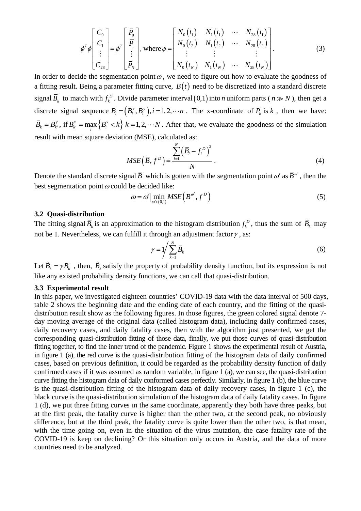$$
\phi^{T} \phi \begin{bmatrix} C_{0} \\ C_{1} \\ \vdots \\ C_{28} \end{bmatrix} = \phi^{T} \begin{bmatrix} \overline{P}_{0} \\ \overline{P}_{1} \\ \vdots \\ \overline{P}_{N} \end{bmatrix}, \text{ where } \phi = \begin{bmatrix} N_{0}(t_{1}) & N_{1}(t_{1}) & \cdots & N_{28}(t_{1}) \\ N_{0}(t_{2}) & N_{1}(t_{2}) & \cdots & N_{28}(t_{2}) \\ \vdots & \vdots & & \vdots \\ N_{0}(t_{N}) & N_{1}(t_{N}) & \cdots & N_{28}(t_{N}) \end{bmatrix}.
$$
 (3)

In order to decide the segmentation point  $\omega$ , we need to figure out how to evaluate the goodness of a fitting result. Being a parameter fitting curve,  $B(t)$  need to be discretized into a standard discrete signal  $\overline{B}_k$  to match with  $f_k^D$  $f_k^D$ . Divide parameter interval  $(0,1)$  into *n* uniform parts  $(n \gg N)$ , then get a discrete signal sequence  $B_i = (B_i^x, B_i^y), i = 1, 2, \dots n$ . The x-coordinate of  $\overline{P}_k$  is k, then we have:  $\overline{B}_k = B_{k'}^y$ , if  $B_{k'}^x = \max\{B_i^x < k\}$  $B_{k'}^x = \max_i \left\{ B_i^x < k \right\}$   $k = 1, 2, \dots N$ . After that, we evaluate the goodness of the simulation result with mean square deviation (MSE), calculated as:

$$
MSE\left(\overline{B}, f^{D}\right) = \frac{\sum_{i=1}^{N} \left(\overline{B}_{i} - f_{i}^{D}\right)^{2}}{N}.
$$
\n(4)

Denote the standard discrete signal  $\bar{B}$  which is gotten with the segmentation point  $\omega'$  as  $\bar{B}^{\omega'}$ , then the best segmentation point  $\omega$  could be decided like:<br>  $\omega = \omega' \min_{\omega} M$ .

$$
\omega = \omega' \Big| \min_{\omega' \in (0,1)} MSE\Big(\overline{B}^{\omega'}, f^D\Big) \tag{5}
$$

## **3.2 Quasi-distribution**

The fitting signal  $\overline{B}_k$  is an approximation to the histogram distribution  $f_k^D$  $f_k^D$ , thus the sum of  $\overline{B}_k$  may not be 1. Nevertheless, we can fulfill it through an adjustment factor  $\gamma$ , as:

$$
\gamma = 1 / \sum_{k=1}^{N} \overline{B}_k \tag{6}
$$

Let  $\tilde{B}_k = \gamma \bar{B}_k$ , then,  $\tilde{B}_k$  satisfy the property of probability density function, but its expression is not like any existed probability density functions, we can call that quasi-distribution.

#### **3.3 Experimental result**

In this paper, we investigated eighteen countries' COVID-19 data with the data interval of 500 days, table 2 shows the beginning date and the ending date of each country, and the fitting of the quasidistribution result show as the following figures. In those figures, the green colored signal denote 7 day moving average of the original data (called histogram data), including daily confirmed cases, daily recovery cases, and daily fatality cases, then with the algorithm just presented, we get the corresponding quasi-distribution fitting of those data, finally, we put those curves of quasi-distribution fitting together, to find the inner trend of the pandemic. Figure 1 shows the experimental result of Austria, in figure 1 (a), the red curve is the quasi-distribution fitting of the histogram data of daily confirmed cases, based on previous definition, it could be regarded as the probability density function of daily confirmed cases if it was assumed as random variable, in figure 1 (a), we can see, the quasi-distribution curve fitting the histogram data of daily conformed cases perfectly. Similarly, in figure 1 (b), the blue curve is the quasi-distribution fitting of the histogram data of daily recovery cases, in figure 1 (c), the black curve is the quasi-distribution simulation of the histogram data of daily fatality cases. In figure 1 (d), we put three fitting curves in the same coordinate, apparently they both have three peaks, but at the first peak, the fatality curve is higher than the other two, at the second peak, no obviously difference, but at the third peak, the fatality curve is quite lower than the other two, is that mean, with the time going on, even in the situation of the virus mutation, the case fatality rate of the COVID-19 is keep on declining? Or this situation only occurs in Austria, and the data of more countries need to be analyzed.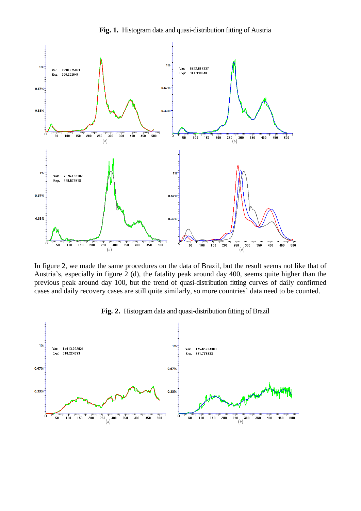

**Fig. 1.** Histogram data and quasi-distribution fitting of Austria

In figure 2, we made the same procedures on the data of Brazil, but the result seems not like that of Austria's, especially in figure 2 (d), the fatality peak around day 400, seems quite higher than the previous peak around day 100, but the trend of quasi-distribution fitting curves of daily confirmed cases and daily recovery cases are still quite similarly, so more countries' data need to be counted.



**Fig. 2.** Histogram data and quasi-distribution fitting of Brazil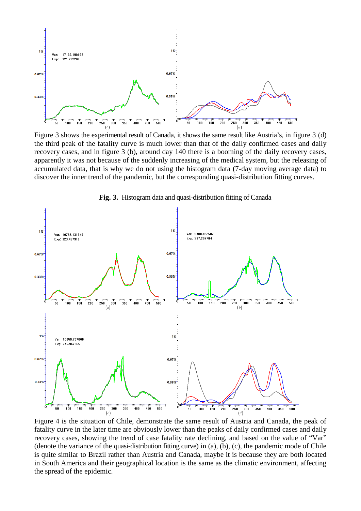

Figure 3 shows the experimental result of Canada, it shows the same result like Austria's, in figure 3 (d) the third peak of the fatality curve is much lower than that of the daily confirmed cases and daily recovery cases, and in figure 3 (b), around day 140 there is a booming of the daily recovery cases, apparently it was not because of the suddenly increasing of the medical system, but the releasing of accumulated data, that is why we do not using the histogram data (7-day moving average data) to discover the inner trend of the pandemic, but the corresponding quasi-distribution fitting curves.



**Fig. 3.** Histogram data and quasi-distribution fitting of Canada

Figure 4 is the situation of Chile, demonstrate the same result of Austria and Canada, the peak of fatality curve in the later time are obviously lower than the peaks of daily confirmed cases and daily recovery cases, showing the trend of case fatality rate declining, and based on the value of "Var" (denote the variance of the quasi-distribution fitting curve) in (a), (b), (c), the pandemic mode of Chile is quite similar to Brazil rather than Austria and Canada, maybe it is because they are both located in South America and their geographical location is the same as the climatic environment, affecting Figure 4 is the situation of Chile, demonstrate the same result of Austr fatality curve in the later time are obviously lower than the peaks of dail recovery cases, showing the trend of case fatality rate declining, and b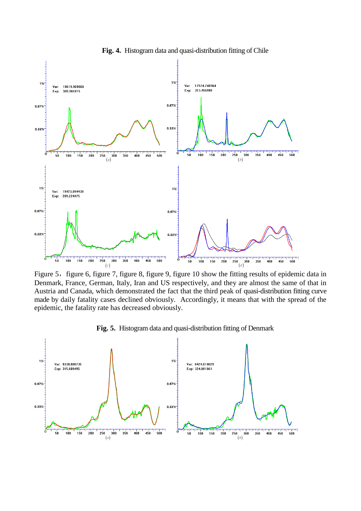

**Fig. 4.** Histogram data and quasi-distribution fitting of Chile

Figure 5, figure 6, figure 7, figure 8, figure 9, figure 10 show the fitting results of epidemic data in Denmark, France, German, Italy, Iran and US respectively, and they are almost the same of that in Austria and Canada, which demonstrated the fact that the third peak of quasi-distribution fitting curve made by daily fatality cases declined obviously. Accordingly, it means that with the spread of the epidemic, the fatality rate has decreased obviously.



**Fig. 5.** Histogram data and quasi-distribution fitting of Denmark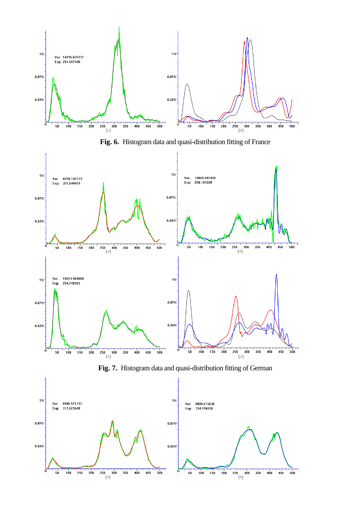

**Fig. 6.** Histogram data and quasi-distribution fitting of France



**Fig. 7.** Histogram data and quasi-distribution fitting of German

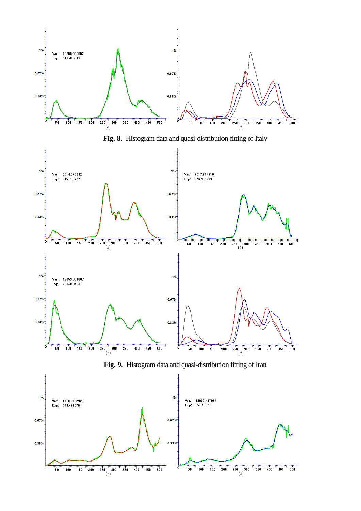

**Fig. 8.** Histogram data and quasi-distribution fitting of Italy



**Fig. 9.** Histogram data and quasi-distribution fitting of Iran

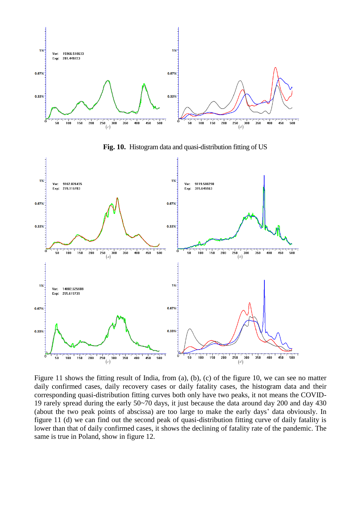

**Fig. 10.** Histogram data and quasi-distribution fitting of US



Figure 11 shows the fitting result of India, from (a), (b), (c) of the figure 10, we can see no matter daily confirmed cases, daily recovery cases or daily fatality cases, the histogram data and their corresponding quasi-distribution fitting curves both only have two peaks, it not means the COVID-19 rarely spread during the early 50~70 days, it just because the data around day 200 and day 430 (about the two peak points of abscissa) are too large to make the early days' data obviously. In figure 11 (d) we can find out the second peak of quasi-distribution fitting curve of daily fatality is lower than that of daily confirmed cases, it shows the declining of fatality rate of the pandemic. The same is true in Poland, show in figure 12.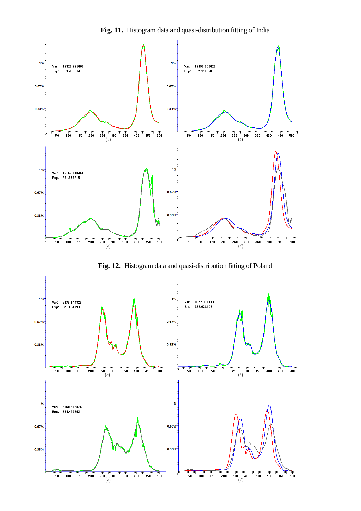

**Fig. 11.** Histogram data and quasi-distribution fitting of India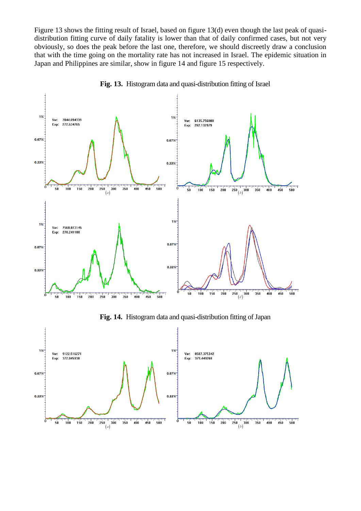Figure 13 shows the fitting result of Israel, based on figure 13(d) even though the last peak of quasidistribution fitting curve of daily fatality is lower than that of daily confirmed cases, but not very obviously, so does the peak before the last one, therefore, we should discreetly draw a conclusion that with the time going on the mortality rate has not increased in Israel. The epidemic situation in Japan and Philippines are similar, show in figure 14 and figure 15 respectively.



**Fig. 13.** Histogram data and quasi-distribution fitting of Israel

**Fig. 14.** Histogram data and quasi-distribution fitting of Japan

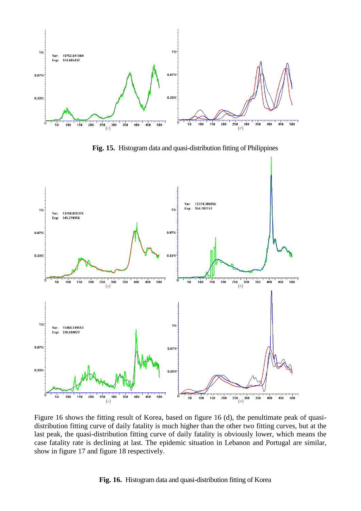

**Fig. 15.** Histogram data and quasi-distribution fitting of Philippines



Figure 16 shows the fitting result of Korea, based on figure 16 (d), the penultimate peak of quasidistribution fitting curve of daily fatality is much higher than the other two fitting curves, but at the last peak, the quasi-distribution fitting curve of daily fatality is obviously lower, which means the case fatality rate is declining at last. The epidemic situation in Lebanon and Portugal are similar, show in figure 17 and figure 18 respectively. The integral is simple to the penultin ve of daily fatality is much higher than the other two fitting stribution fitting curve of daily fatality is obviously lower eclining at last. The epidemic situation in Lebanon and P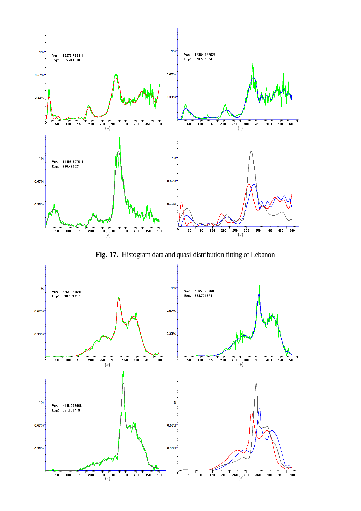

**Fig. 17.** Histogram data and quasi-distribution fitting of Lebanon

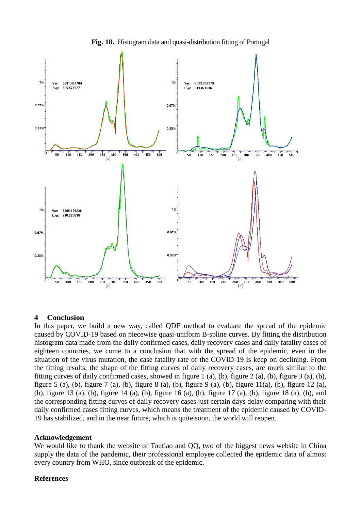

**Fig. 18.** Histogram data and quasi-distribution fitting of Portugal

## **4 Conclusion**

In this paper, we build a new way, called QDF method to evaluate the spread of the epidemic caused by COVID-19 based on piecewise quasi-uniform B-spline curves. By fitting the distribution histogram data made from the daily confirmed cases, daily recovery cases and daily fatality cases of eighteen countries, we come to a conclusion that with the spread of the epidemic, even in the situation of the virus mutation, the case fatality rate of the COVID-19 is keep on declining. From the fitting results, the shape of the fitting curves of daily recovery cases, are much similar to the fitting curves of daily confirmed cases, showed in figure 1 (a), (b), figure 2 (a), (b), figure 3 (a), (b), figure 5 (a), (b), figure 7 (a), (b), figure 8 (a), (b), figure 9 (a), (b), figure 11(a), (b), figure 12 (a), (b), figure 13 (a), (b), figure 14 (a), (b), figure 16 (a), (b), figure 17 (a), (b), figure 18 (a), (b), and the corresponding fitting curves of daily recovery cases just certain days delay comparing with their daily confirmed cases fitting curves, which means the treatment of the epidemic caused by COVID-19 has stabilized, and in the near future, which is quite soon, the world will reopen. <sup>(*c*)</sup><br> **4 Conclusion**<br> **In this paper, we build a new way, called QDF method to evaluate caused by COVID-19 based on piecewise quasi-uniform B-spline curve histogram data made from the daily confirmed cases, daily reco** 

#### **Acknowledgement**

We would like to thank the website of Toutiao and QQ, two of the biggest news website in China supply the data of the pandemic, their professional employee collected the epidemic data of almost every country from WHO, since outbreak of the epidemic.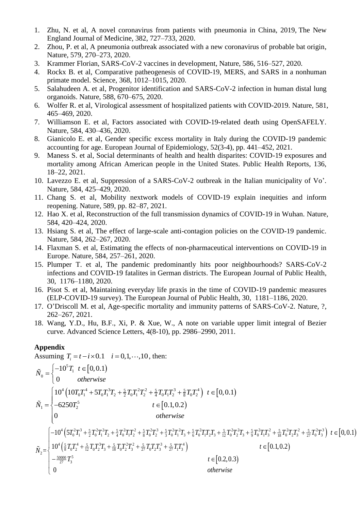- 1. Zhu, N. et al, A novel coronavirus from patients with pneumonia in China, 2019, The New England Journal of Medicine, 382, 727–733, 2020.
- 2. Zhou, P. et al, A pneumonia outbreak associated with a new coronavirus of probable bat origin, Nature, 579, 270–273, 2020.
- 3. Krammer Florian, SARS-CoV-2 vaccines in development, Nature, 586, 516–527, 2020.
- 4. Rockx B. et al, Comparative patheogenesis of COVID-19, MERS, and SARS in a nonhuman primate model. Science, 368, 1012–1015, 2020.
- 5. Salahudeen A. et al, Progenitor identification and SARS-CoV-2 infection in human distal lung organoids. Nature, 588, 670–675, 2020.
- 6. Wolfer R. et al, Virological assessment of hospitalized patients with COVID-2019. Nature, 581, 465–469, 2020.
- 7. Williamson E. et al, Factors associated with COVID-19-related death using OpenSAFELY. Nature, 584, 430–436, 2020.
- 8. Gianicolo E. et al, Gender specific excess mortality in Italy during the COVID-19 pandemic accounting for age. European Journal of Epidemiology, 52(3-4), pp. 441–452, 2021.
- 9. Maness S. et al, Social determinants of health and health disparites: COVID-19 exposures and mortality among African American people in the United States. Public Health Reports, 136, 18–22, 2021.
- 10. Lavezzo E. et al, Suppression of a SARS-CoV-2 outbreak in the Italian municipality of Vo'. Nature, 584, 425–429, 2020.
- 11. Chang S. et al, Mobility nextwork models of COVID-19 explain inequities and inform reopening. Nature, 589, pp. 82–87, 2021.
- 12. Hao X. et al, Reconstruction of the full transmission dynamics of COVID-19 in Wuhan. Nature, 584, 420–424, 2020.
- 13. Hsiang S. et al, The effect of large-scale anti-contagion policies on the COVID-19 pandemic. Nature, 584, 262–267, 2020.
- 14. Flaxman S. et al, Estimating the effects of non-pharmaceutical interventions on COVID-19 in Europe. Nature, 584, 257–261, 2020.
- 15. Plumper T. et al, The pandemic predominantly hits poor neighbourhoods? SARS-CoV-2 infections and COVID-19 fatalites in German districts. The European Journal of Public Health, 30, 1176–1180, 2020.
- 16. Pisot S. et al, Maintaining everyday life praxis in the time of COVID-19 pandemic measures (ELP-COVID-19 survey). The European Journal of Public Health, 30, 1181–1186, 2020.
- 17. O'Driscoll M. et al, Age-specific mortality and immunity patterns of SARS-CoV-2. Nature, ?, 262–267, 2021.
- 18. Wang, Y.D., Hu, B.F., Xi, P. & Xue, W., A note on variable upper limit integral of Bezier curve. Advanced Science Letters, 4(8-10), pp. 2986–2990, 2011.

### **Appendix**

**Appendix**  
\nAssuming 
$$
T_i = t - i \times 0.1
$$
  $i = 0, 1, \dots, 10$ , then:  
\n
$$
\tilde{N}_0 = \begin{cases}\n-10^5 T_1 \ t \in [0, 0.1) \\
0 \quad \text{otherwise}\n\end{cases}
$$
\n
$$
\tilde{N}_1 = \begin{cases}\n10^4 \left(10T_0 T_1^4 + 5T_0 T_1^3 T_2 + \frac{5}{2} T_0 T_1^2 T_2^2 + \frac{5}{4} T_0 T_1 T_2^3 + \frac{5}{8} T_0 T_2^4\right) \ t \in [0, 0.1) \\
-6250 T_2^5 \ t \in [0.1, 0.2)\n\end{cases}
$$
\n
$$
\tilde{N}_1 = \begin{cases}\n-10^4 \left(5T_0^2 T_1^3 + \frac{5}{2} T_0^2 T_1^2 T_2 + \frac{5}{4} T_0^2 T_1 T_2^2 + \frac{5}{8} T_0^2 T_2^3 + \frac{5}{3} T_0^2 T_1^2 T_3 + \frac{5}{6} T_0^2 T_1 T_2 T_3 + \frac{5}{12} T_0^2 T_2^2 T_3 + \frac{5}{9} T_0^2 T_1 T_3^2 + \frac{5}{18} T_0^2 T_2 T_3^2 + \frac{5}{27} T_0^2 T_3^3\right) \ t \in [0, 0.1) \\
10^4 \left(\frac{5}{8} T_0 T_2^4 + \frac{5}{12} T_0 T_2^3 T_3 + \frac{5}{18} T_0 T_2^2 T_3^2 + \frac{5}{27} T_0 T_2 T_3^3 + \frac{5}{27} T_1 T_3^4\right) \ t \in [0.2, 0.3) \\
0\n\end{cases}
$$
\n $t \in [0.2, 0.3)$   
\notherwise  
\n $t \in [0.2, 0.3)$